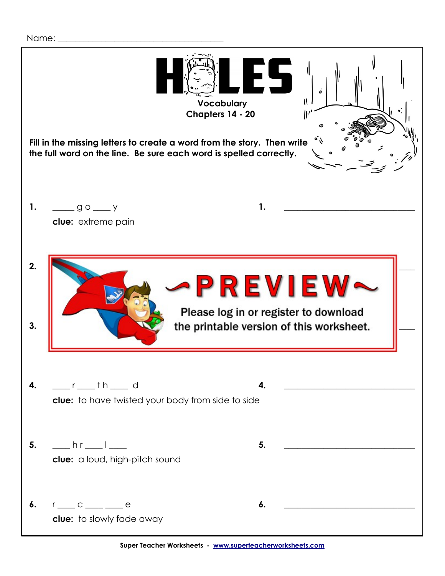